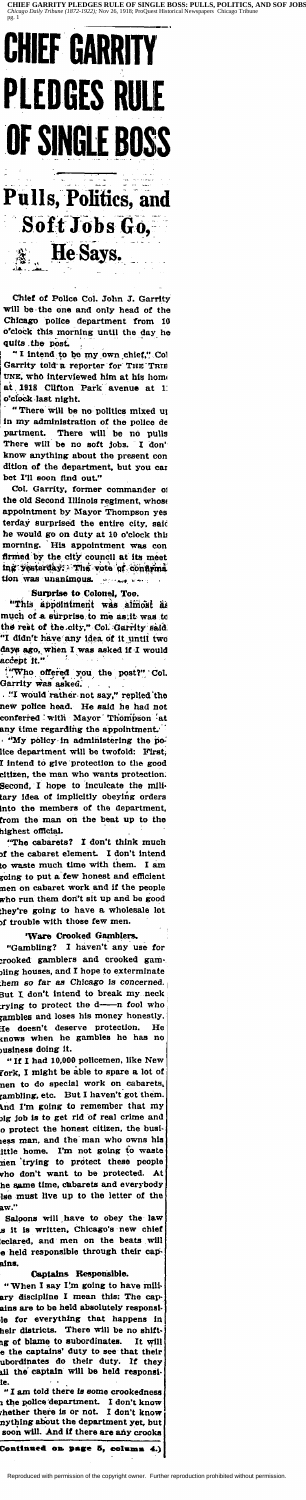

**Pulls, Politics, and** Soft Jobs Go, He Says.

Chief of Police Col. John J. Garrity will be the one and only head of the Chicago police department from 10 o'clock this morning until the day he quits the post.

"I intend to be my own chief," Cold Garrity told a reporter for THE TRIE UNE, who interviewed him at his home at 1918 Clifton  $\mathbf{1}$ Park avenue at o'clock last night.

"There will be no politics mixed up "There will be no pointed in acts  $-$ ,<br>in my administration of the police de<br>partment. There will be no pulls<br>There will be no soft jobs. I don't<br>know anything about the present con dition of the department, but you can bet I'll soon find out."

Col. Garrity, former commander of<br>the old Second Illinois regiment, whose<br>appointment by Mayor Thompson yes terday surprised the entire city, said he would go on duty at 10 o'clock this His appointment morning. was con firmed by the city council at its meet ing yesterday: The vote of confirma tion was unanimous. ماره هم

#### Surprise to Colonel, Too.

"This appointment was atmost as the rest of the city," Col. Garrity said.<br>"I didn't have any idea of it until two days ago, when I was asked if I would<br>accept it."

"Who offered you the post?" Col.<br>Garrity was asked.

. "I would rather not say," replied the new police head. He said he had not conferred with Mayor Thompson at any time regarding the appointment. . "My policy in administering the police department will be twofold: First, I intend to give protection to the good citizen, the man who wants protection.<br>Second, I hope to inculcate the military idea of implicitly obeying orders into the members of the department,<br>from the man on the beat up to the highest official.

The cabarets? I don't think much I don't intend of the cabaret element. to waste much time with them. I am going to put a few honest and efficient men on cabaret work and if the people who run them don't sit up and be good they're going to have a wholesale lot<br>of trouble with those few men.

### 'Ware Crooked Gamblers.

"Gambling? I haven't any use for crooked gamblers and crooked gambling houses, and I hope to exterminate them so far as Chicago is concerned.<br>But I don't intend to break my neck trying to protect the d--n fool who gambles and loses his money honestly. -<br>He doesn't deserve protection.<br>knows when he gambles he has He pusiness doing it.

"If I had 10,000 policemen, like New Fork, I might be able to spare a lot of nen to do special work on cabarets,<br>rambling, etc. But I haven't got them. And I'm going to remember that my big job is to get rid of real crime and o protect the honest citizen, the busiess man, and the man who owns his little home. I'm not going to waste<br>men trying to protect these people who don't want to be protected. At he same time, cabarets and everybody lse must live up to the letter of the aw.

Saloons will have to obey the law s it is written, Chicago's new chief<br>leclared, and men on the beats will e held responsible through their capains.

#### Captains Responsible.

"When I say I'm going to have mili-<br>ary discipline I mean this: The capains are to be held absolutely responsile for everything that happens in heir districts. There will be no shiftment using of blame to subordinates. It will<br>be the captains' duty to see that their<br>ubordinates do their duty. If they<br>ail the captain will be held responsi-

le.<br>"I am told there is some crookedness"<br>"---ment. I don't know" the police department. I don't know<br>the fine there is or not. I don't know whether there is or not. I don't know<br>mything about the department yet, but soon will. And if there are any crooks

#### Continued on page 5, column